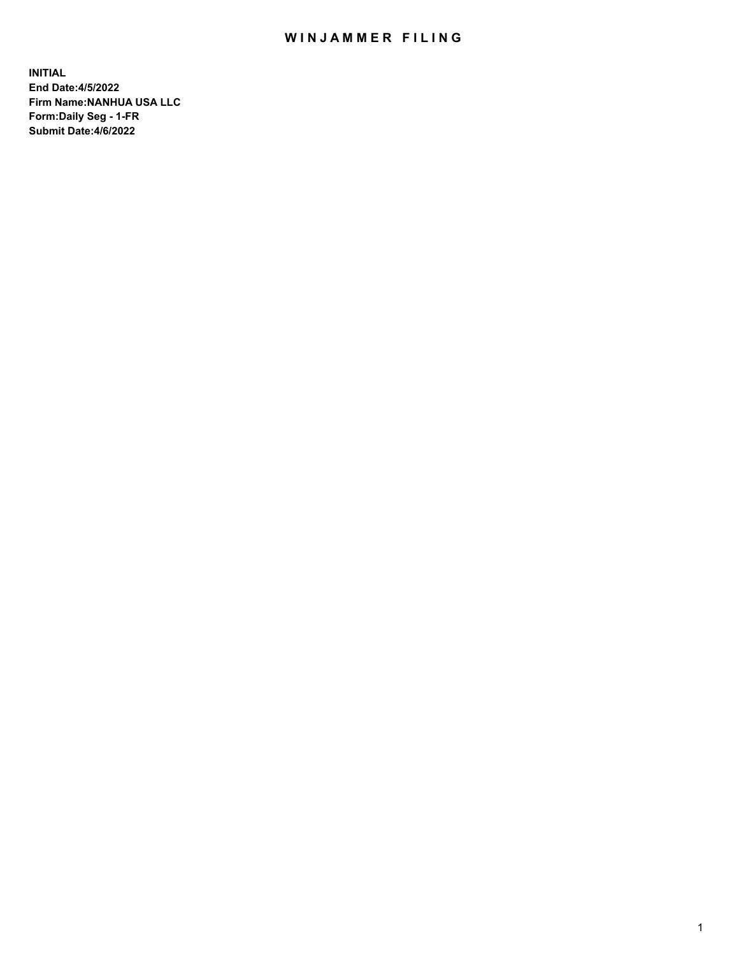## WIN JAMMER FILING

**INITIAL End Date:4/5/2022 Firm Name:NANHUA USA LLC Form:Daily Seg - 1-FR Submit Date:4/6/2022**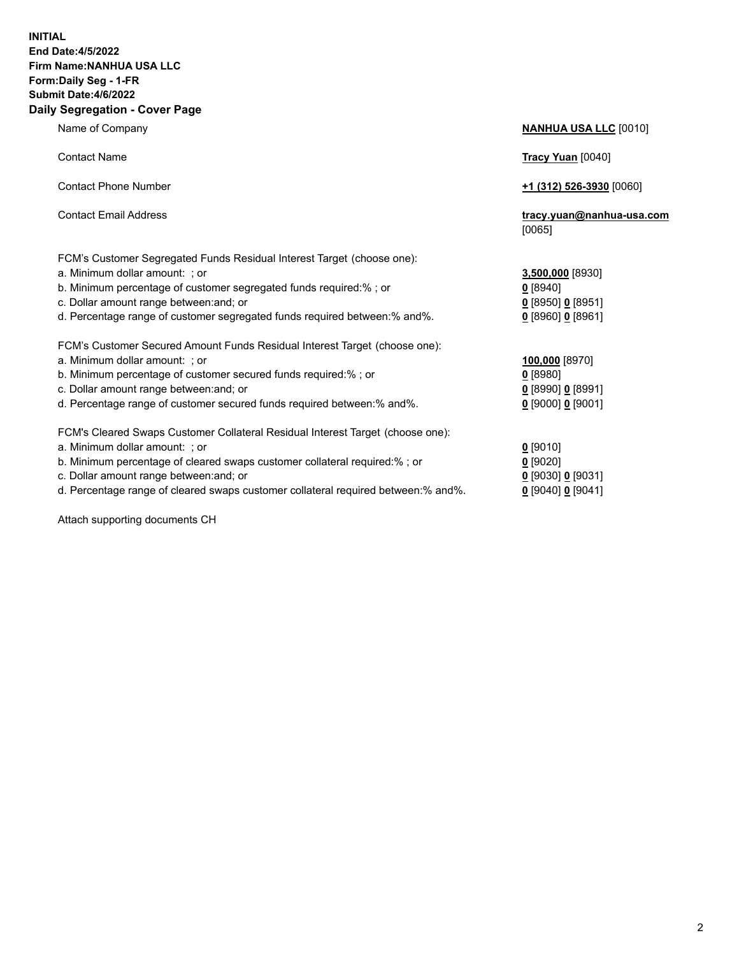## **INITIAL End Date:4/5/2022 Firm Name:NANHUA USA LLC Form:Daily Seg - 1-FR Submit Date:4/6/2022 Daily Segregation - Cover Page**

Name of Company **NANHUA USA LLC** [0010] Contact Name **Tracy Yuan** [0040] Contact Phone Number **+1 (312) 526-3930** [0060] Contact Email Address **tracy.yuan@nanhua-usa.com** [0065] FCM's Customer Segregated Funds Residual Interest Target (choose one): a. Minimum dollar amount: ; or **3,500,000** [8930] b. Minimum percentage of customer segregated funds required:% ; or **0** [8940] c. Dollar amount range between:and; or **0** [8950] **0** [8951] d. Percentage range of customer segregated funds required between:% and%. **0** [8960] **0** [8961] FCM's Customer Secured Amount Funds Residual Interest Target (choose one): a. Minimum dollar amount: ; or **100,000** [8970] b. Minimum percentage of customer secured funds required:% ; or **0** [8980] c. Dollar amount range between:and; or **0** [8990] **0** [8991] d. Percentage range of customer secured funds required between:% and%. **0** [9000] **0** [9001] FCM's Cleared Swaps Customer Collateral Residual Interest Target (choose one): a. Minimum dollar amount: ; or **0** [9010] b. Minimum percentage of cleared swaps customer collateral required:% ; or **0** [9020] c. Dollar amount range between:and; or **0** [9030] **0** [9031]

d. Percentage range of cleared swaps customer collateral required between:% and%. **0** [9040] **0** [9041]

Attach supporting documents CH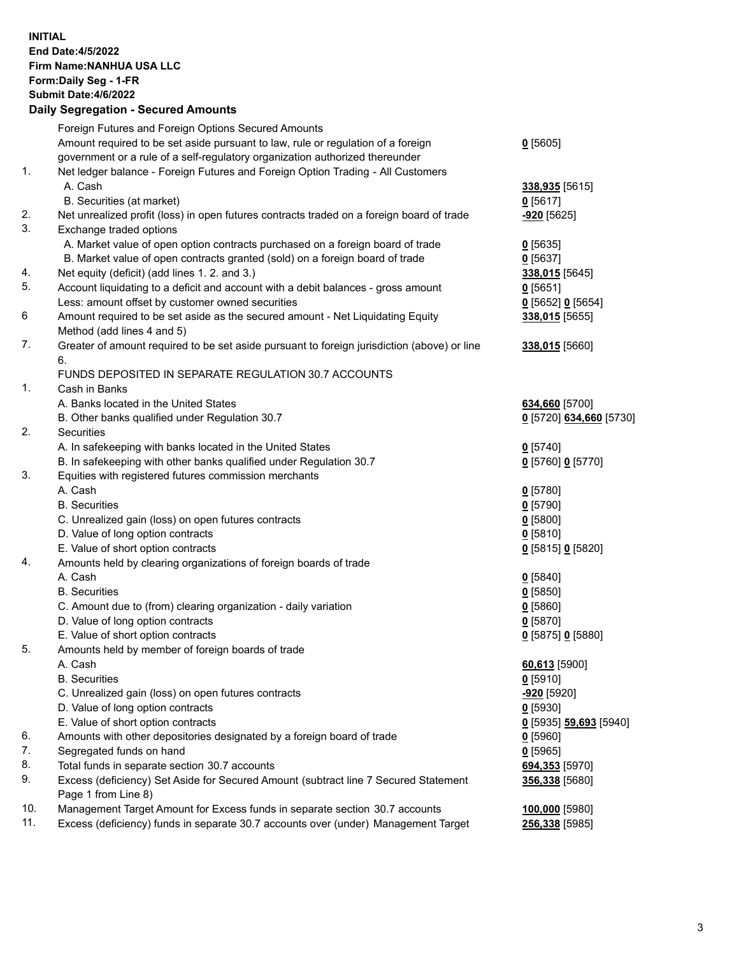## **INITIAL End Date:4/5/2022 Firm Name:NANHUA USA LLC Form:Daily Seg - 1-FR Submit Date:4/6/2022 Daily Segregation - Secured Amounts**

|     | Foreign Futures and Foreign Options Secured Amounts                                         |                               |
|-----|---------------------------------------------------------------------------------------------|-------------------------------|
|     | Amount required to be set aside pursuant to law, rule or regulation of a foreign            | $0$ [5605]                    |
|     | government or a rule of a self-regulatory organization authorized thereunder                |                               |
| 1.  | Net ledger balance - Foreign Futures and Foreign Option Trading - All Customers             |                               |
|     | A. Cash                                                                                     | 338,935 [5615]                |
|     | B. Securities (at market)                                                                   | $0$ [5617]                    |
| 2.  | Net unrealized profit (loss) in open futures contracts traded on a foreign board of trade   | -920 [5625]                   |
| 3.  | Exchange traded options                                                                     |                               |
|     | A. Market value of open option contracts purchased on a foreign board of trade              | $0$ [5635]                    |
|     | B. Market value of open contracts granted (sold) on a foreign board of trade                | $0$ [5637]                    |
| 4.  | Net equity (deficit) (add lines 1. 2. and 3.)                                               | 338,015 [5645]                |
| 5.  | Account liquidating to a deficit and account with a debit balances - gross amount           | $0$ [5651]                    |
|     | Less: amount offset by customer owned securities                                            | 0 [5652] 0 [5654]             |
| 6   | Amount required to be set aside as the secured amount - Net Liquidating Equity              | 338,015 [5655]                |
|     | Method (add lines 4 and 5)                                                                  |                               |
| 7.  | Greater of amount required to be set aside pursuant to foreign jurisdiction (above) or line | 338,015 [5660]                |
|     | 6.                                                                                          |                               |
|     | FUNDS DEPOSITED IN SEPARATE REGULATION 30.7 ACCOUNTS                                        |                               |
| 1.  | Cash in Banks                                                                               |                               |
|     | A. Banks located in the United States                                                       | 634,660 [5700]                |
|     | B. Other banks qualified under Regulation 30.7                                              | 0 [5720] 634,660 [5730]       |
| 2.  | <b>Securities</b>                                                                           |                               |
|     | A. In safekeeping with banks located in the United States                                   | $0$ [5740]                    |
|     | B. In safekeeping with other banks qualified under Regulation 30.7                          | 0 [5760] 0 [5770]             |
| 3.  | Equities with registered futures commission merchants                                       |                               |
|     | A. Cash                                                                                     | $0$ [5780]                    |
|     | <b>B.</b> Securities                                                                        | $0$ [5790]                    |
|     | C. Unrealized gain (loss) on open futures contracts                                         | $0$ [5800]                    |
|     | D. Value of long option contracts                                                           | $0$ [5810]                    |
|     | E. Value of short option contracts                                                          | 0 [5815] 0 [5820]             |
| 4.  | Amounts held by clearing organizations of foreign boards of trade                           |                               |
|     | A. Cash                                                                                     | $0$ [5840]                    |
|     | <b>B.</b> Securities                                                                        | $0$ [5850]                    |
|     | C. Amount due to (from) clearing organization - daily variation                             | 0[5860]                       |
|     | D. Value of long option contracts                                                           | $0$ [5870]                    |
|     | E. Value of short option contracts                                                          | 0 [5875] 0 [5880]             |
| 5.  | Amounts held by member of foreign boards of trade                                           |                               |
|     | A. Cash                                                                                     | 60,613 [5900]                 |
|     | <b>B.</b> Securities                                                                        | $0$ [5910]                    |
|     | C. Unrealized gain (loss) on open futures contracts                                         | $-920$ [5920]                 |
|     | D. Value of long option contracts                                                           | $0$ [5930]                    |
|     | E. Value of short option contracts                                                          | <u>0</u> [5935] 59,693 [5940] |
| 6.  | Amounts with other depositories designated by a foreign board of trade                      | $0$ [5960]                    |
| 7.  | Segregated funds on hand                                                                    | $0$ [5965]                    |
| 8.  | Total funds in separate section 30.7 accounts                                               | 694,353 [5970]                |
| 9.  | Excess (deficiency) Set Aside for Secured Amount (subtract line 7 Secured Statement         | 356,338 [5680]                |
|     | Page 1 from Line 8)                                                                         |                               |
| 10. | Management Target Amount for Excess funds in separate section 30.7 accounts                 | 100,000 [5980]                |
| 11. | Excess (deficiency) funds in separate 30.7 accounts over (under) Management Target          | 256,338 [5985]                |
|     |                                                                                             |                               |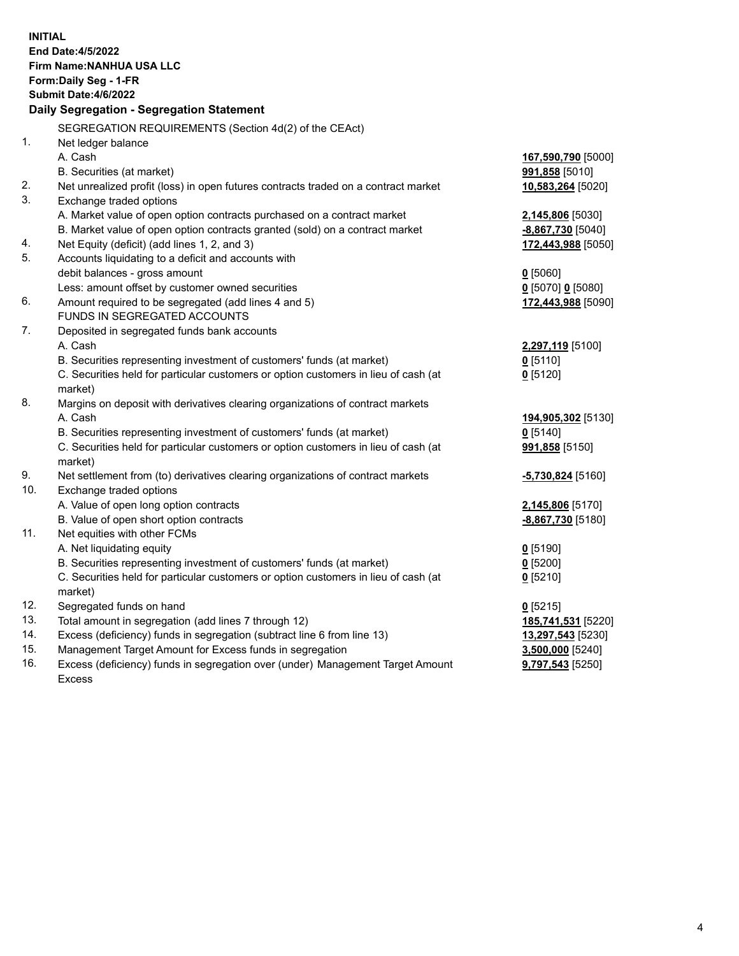| <b>INITIAL</b> | <b>End Date:4/5/2022</b><br>Firm Name: NANHUA USA LLC<br>Form: Daily Seg - 1-FR<br><b>Submit Date: 4/6/2022</b><br>Daily Segregation - Segregation Statement |                          |
|----------------|--------------------------------------------------------------------------------------------------------------------------------------------------------------|--------------------------|
|                | SEGREGATION REQUIREMENTS (Section 4d(2) of the CEAct)                                                                                                        |                          |
| $\mathbf{1}$ . | Net ledger balance                                                                                                                                           |                          |
|                | A. Cash                                                                                                                                                      | 167,590,790 [5000]       |
|                | B. Securities (at market)                                                                                                                                    | 991,858 [5010]           |
| 2.             | Net unrealized profit (loss) in open futures contracts traded on a contract market                                                                           | 10,583,264 [5020]        |
| 3.             | Exchange traded options                                                                                                                                      |                          |
|                | A. Market value of open option contracts purchased on a contract market                                                                                      | 2,145,806 [5030]         |
|                | B. Market value of open option contracts granted (sold) on a contract market                                                                                 | -8,867,730 [5040]        |
| 4.             | Net Equity (deficit) (add lines 1, 2, and 3)                                                                                                                 | 172,443,988 [5050]       |
| 5.             | Accounts liquidating to a deficit and accounts with                                                                                                          |                          |
|                | debit balances - gross amount                                                                                                                                | $0$ [5060]               |
|                | Less: amount offset by customer owned securities                                                                                                             | $0$ [5070] 0 [5080]      |
| 6.             | Amount required to be segregated (add lines 4 and 5)                                                                                                         | 172,443,988 [5090]       |
|                | FUNDS IN SEGREGATED ACCOUNTS                                                                                                                                 |                          |
| 7.             | Deposited in segregated funds bank accounts                                                                                                                  |                          |
|                | A. Cash                                                                                                                                                      | 2,297,119 [5100]         |
|                | B. Securities representing investment of customers' funds (at market)                                                                                        | $0$ [5110]               |
|                | C. Securities held for particular customers or option customers in lieu of cash (at                                                                          | $0$ [5120]               |
|                | market)                                                                                                                                                      |                          |
| 8.             | Margins on deposit with derivatives clearing organizations of contract markets                                                                               |                          |
|                | A. Cash                                                                                                                                                      | 194,905,302 [5130]       |
|                | B. Securities representing investment of customers' funds (at market)<br>C. Securities held for particular customers or option customers in lieu of cash (at | $0$ [5140]               |
|                | market)                                                                                                                                                      | 991,858 [5150]           |
| 9.             | Net settlement from (to) derivatives clearing organizations of contract markets                                                                              | -5,730,824 [5160]        |
| 10.            | Exchange traded options                                                                                                                                      |                          |
|                | A. Value of open long option contracts                                                                                                                       | 2,145,806 [5170]         |
|                | B. Value of open short option contracts                                                                                                                      | -8,867,730 [5180]        |
| 11.            | Net equities with other FCMs                                                                                                                                 |                          |
|                | A. Net liquidating equity                                                                                                                                    | $0$ [5190]               |
|                | B. Securities representing investment of customers' funds (at market)                                                                                        | 0 [5200]                 |
|                | C. Securities held for particular customers or option customers in lieu of cash (at                                                                          | $0$ [5210]               |
|                | market)                                                                                                                                                      |                          |
| 12.            | Segregated funds on hand                                                                                                                                     | $0$ [5215]               |
| 13.            | Total amount in segregation (add lines 7 through 12)                                                                                                         | 185,741,531 [5220]       |
| 14.            | Excess (deficiency) funds in segregation (subtract line 6 from line 13)                                                                                      | <b>13,297,543</b> [5230] |
| 15.            | Management Target Amount for Excess funds in segregation                                                                                                     | 3,500,000 [5240]         |
| 16.            | Excess (deficiency) funds in segregation over (under) Management Target Amount                                                                               | 9,797,543 [5250]         |
|                | <b>Excess</b>                                                                                                                                                |                          |